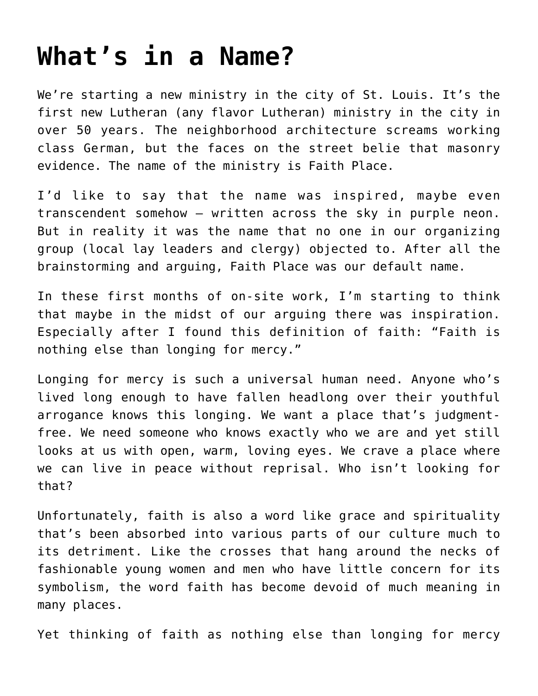## **[What's in a Name?](https://crossings.org/whats-in-a-name/)**

We're starting a new ministry in the city of St. Louis. It's the first new Lutheran (any flavor Lutheran) ministry in the city in over 50 years. The neighborhood architecture screams working class German, but the faces on the street belie that masonry evidence. The name of the ministry is Faith Place.

I'd like to say that the name was inspired, maybe even transcendent somehow – written across the sky in purple neon. But in reality it was the name that no one in our organizing group (local lay leaders and clergy) objected to. After all the brainstorming and arguing, Faith Place was our default name.

In these first months of on-site work, I'm starting to think that maybe in the midst of our arguing there was inspiration. Especially after I found this definition of faith: "Faith is nothing else than longing for mercy."

Longing for mercy is such a universal human need. Anyone who's lived long enough to have fallen headlong over their youthful arrogance knows this longing. We want a place that's judgmentfree. We need someone who knows exactly who we are and yet still looks at us with open, warm, loving eyes. We crave a place where we can live in peace without reprisal. Who isn't looking for that?

Unfortunately, faith is also a word like grace and spirituality that's been absorbed into various parts of our culture much to its detriment. Like the crosses that hang around the necks of fashionable young women and men who have little concern for its symbolism, the word faith has become devoid of much meaning in many places.

Yet thinking of faith as nothing else than longing for mercy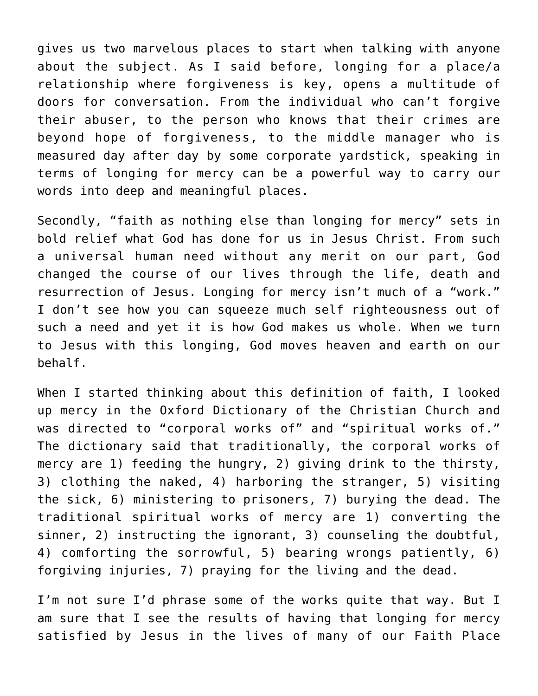gives us two marvelous places to start when talking with anyone about the subject. As I said before, longing for a place/a relationship where forgiveness is key, opens a multitude of doors for conversation. From the individual who can't forgive their abuser, to the person who knows that their crimes are beyond hope of forgiveness, to the middle manager who is measured day after day by some corporate yardstick, speaking in terms of longing for mercy can be a powerful way to carry our words into deep and meaningful places.

Secondly, "faith as nothing else than longing for mercy" sets in bold relief what God has done for us in Jesus Christ. From such a universal human need without any merit on our part, God changed the course of our lives through the life, death and resurrection of Jesus. Longing for mercy isn't much of a "work." I don't see how you can squeeze much self righteousness out of such a need and yet it is how God makes us whole. When we turn to Jesus with this longing, God moves heaven and earth on our behalf.

When I started thinking about this definition of faith, I looked up mercy in the Oxford Dictionary of the Christian Church and was directed to "corporal works of" and "spiritual works of." The dictionary said that traditionally, the corporal works of mercy are 1) feeding the hungry, 2) giving drink to the thirsty, 3) clothing the naked, 4) harboring the stranger, 5) visiting the sick, 6) ministering to prisoners, 7) burying the dead. The traditional spiritual works of mercy are 1) converting the sinner, 2) instructing the ignorant, 3) counseling the doubtful, 4) comforting the sorrowful, 5) bearing wrongs patiently, 6) forgiving injuries, 7) praying for the living and the dead.

I'm not sure I'd phrase some of the works quite that way. But I am sure that I see the results of having that longing for mercy satisfied by Jesus in the lives of many of our Faith Place